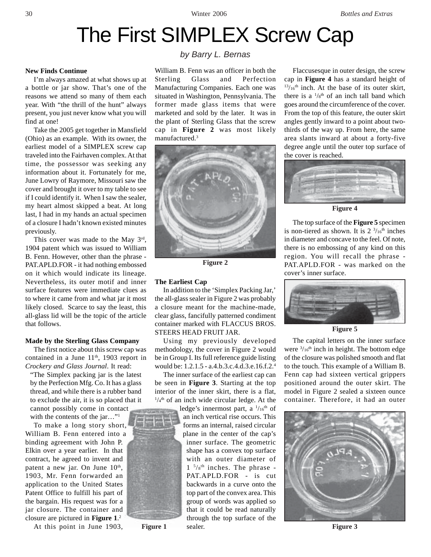# The First SIMPLEX Screw Cap

## **New Finds Continue**

I'm always amazed at what shows up at a bottle or jar show. That's one of the reasons we attend so many of them each year. With "the thrill of the hunt" always present, you just never know what you will find at one!

Take the 2005 get together in Mansfield (Ohio) as an example. With its owner, the earliest model of a SIMPLEX screw cap traveled into the Fairhaven complex. At that time, the possessor was seeking any information about it. Fortunately for me, June Lowry of Raymore, Missouri saw the cover and brought it over to my table to see if I could identify it. When I saw the sealer, my heart almost skipped a beat. At long last, I had in my hands an actual specimen of a closure I hadn't known existed minutes previously.

This cover was made to the May 3rd, 1904 patent which was issued to William B. Fenn. However, other than the phrase - PAT.APLD.FOR - it had nothing embossed on it which would indicate its lineage. Nevertheless, its outer motif and inner surface features were immediate clues as to where it came from and what jar it most likely closed. Scarce to say the least, this all-glass lid will be the topic of the article that follows.

### **Made by the Sterling Glass Company**

The first notice about this screw cap was contained in a June  $11<sup>th</sup>$ , 1903 report in *Crockery and Glass Journal*. It read:

"The Simplex packing jar is the latest by the Perfection Mfg. Co. It has a glass thread, and while there is a rubber band to exclude the air, it is so placed that it cannot possibly come in contact

with the contents of the jar..."<sup>1</sup>

To make a long story short, William B. Fenn entered into a binding agreement with John P. Elkin over a year earlier. In that contract, he agreed to invent and patent a new jar. On June 10<sup>th</sup>, 1903, Mr. Fenn forwarded an application to the United States Patent Office to fulfill his part of the bargain. His request was for a jar closure. The container and closure are pictured in **Figure 1**. 2

At this point in June 1903,

## *by Barry L. Bernas*

William B. Fenn was an officer in both the Sterling Glass and Perfection Manufacturing Companies. Each one was situated in Washington, Pennsylvania. The former made glass items that were marketed and sold by the later. It was in the plant of Sterling Glass that the screw cap in **Figure 2** was most likely manufactured.3



**Figure 2**

### **The Earliest Cap**

In addition to the 'Simplex Packing Jar,' the all-glass sealer in Figure 2 was probably a closure meant for the machine-made, clear glass, fancifully patterned condiment container marked with FLACCUS BROS. STEERS HEAD FRUIT JAR.

Using my previously developed methodology, the cover in Figure 2 would be in Group I. Its full reference guide listing would be: 1.2.1.5 - a.4.b.3.c.4.d.3.e.16.f.2.4

The inner surface of the earliest cap can be seen in **Figure 3**. Starting at the top interior of the inner skirt, there is a flat,  $1/4$ <sup>th</sup> of an inch wide circular ledge. At the

ledge's innermost part, a  $\frac{1}{16}$ <sup>th</sup> of an inch vertical rise occurs. This forms an internal, raised circular plane in the center of the cap's inner surface. The geometric shape has a convex top surface with an outer diameter of  $1 \frac{5}{8}$ <sup>th</sup> inches. The phrase -PAT.APLD.FOR - is cut backwards in a curve onto the top part of the convex area. This group of words was applied so that it could be read naturally through the top surface of the sealer.

Flaccusesque in outer design, the screw cap in **Figure 4** has a standard height of  $13/16$ <sup>th</sup> inch. At the base of its outer skirt, there is a  $\frac{1}{8}$ <sup>th</sup> of an inch tall band which goes around the circumference of the cover. From the top of this feature, the outer skirt angles gently inward to a point about twothirds of the way up. From here, the same area slants inward at about a forty-five degree angle until the outer top surface of the cover is reached.



**Figure 4**

The top surface of the **Figure 5** specimen is non-tiered as shown. It is  $2 \frac{3}{16}$ th inches in diameter and concave to the feel. Of note, there is no embossing of any kind on this region. You will recall the phrase - PAT.APLD.FOR - was marked on the cover's inner surface.



**Figure 5**

The capital letters on the inner surface were  $\frac{3}{16}$ <sup>th</sup> inch in height. The bottom edge of the closure was polished smooth and flat to the touch. This example of a William B. Fenn cap had sixteen vertical grippers positioned around the outer skirt. The model in Figure 2 sealed a sixteen ounce container. Therefore, it had an outer



**Figure 3**



**Figure 1**